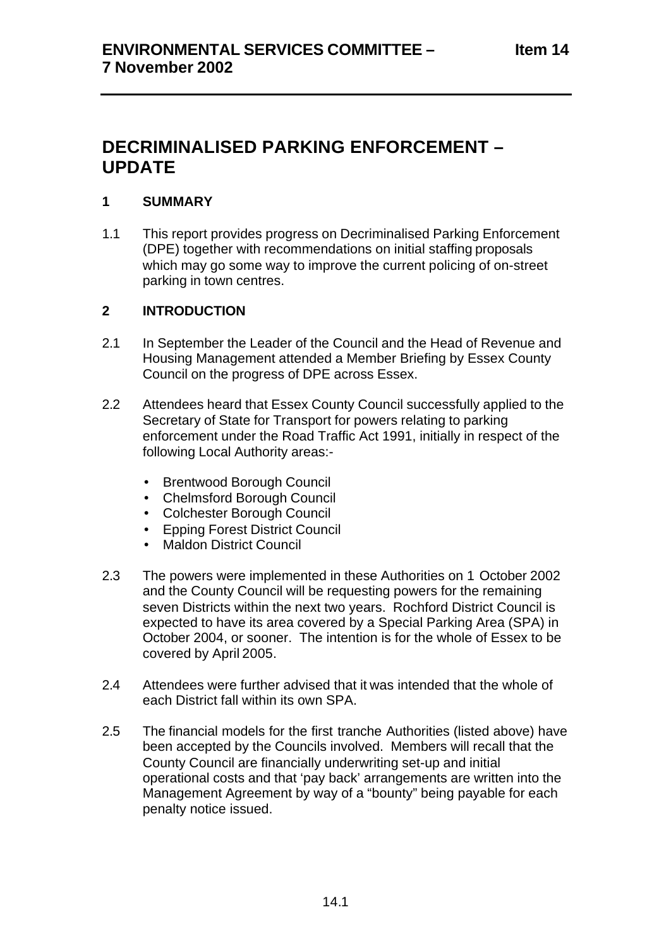# **DECRIMINALISED PARKING ENFORCEMENT – UPDATE**

# **1 SUMMARY**

1.1 This report provides progress on Decriminalised Parking Enforcement (DPE) together with recommendations on initial staffing proposals which may go some way to improve the current policing of on-street parking in town centres.

# **2 INTRODUCTION**

- 2.1 In September the Leader of the Council and the Head of Revenue and Housing Management attended a Member Briefing by Essex County Council on the progress of DPE across Essex.
- 2.2 Attendees heard that Essex County Council successfully applied to the Secretary of State for Transport for powers relating to parking enforcement under the Road Traffic Act 1991, initially in respect of the following Local Authority areas:-
	- Brentwood Borough Council
	- Chelmsford Borough Council
	- Colchester Borough Council
	- Epping Forest District Council
	- Maldon District Council
- 2.3 The powers were implemented in these Authorities on 1 October 2002 and the County Council will be requesting powers for the remaining seven Districts within the next two years. Rochford District Council is expected to have its area covered by a Special Parking Area (SPA) in October 2004, or sooner. The intention is for the whole of Essex to be covered by April 2005.
- 2.4 Attendees were further advised that it was intended that the whole of each District fall within its own SPA.
- 2.5 The financial models for the first tranche Authorities (listed above) have been accepted by the Councils involved. Members will recall that the County Council are financially underwriting set-up and initial operational costs and that 'pay back' arrangements are written into the Management Agreement by way of a "bounty" being payable for each penalty notice issued.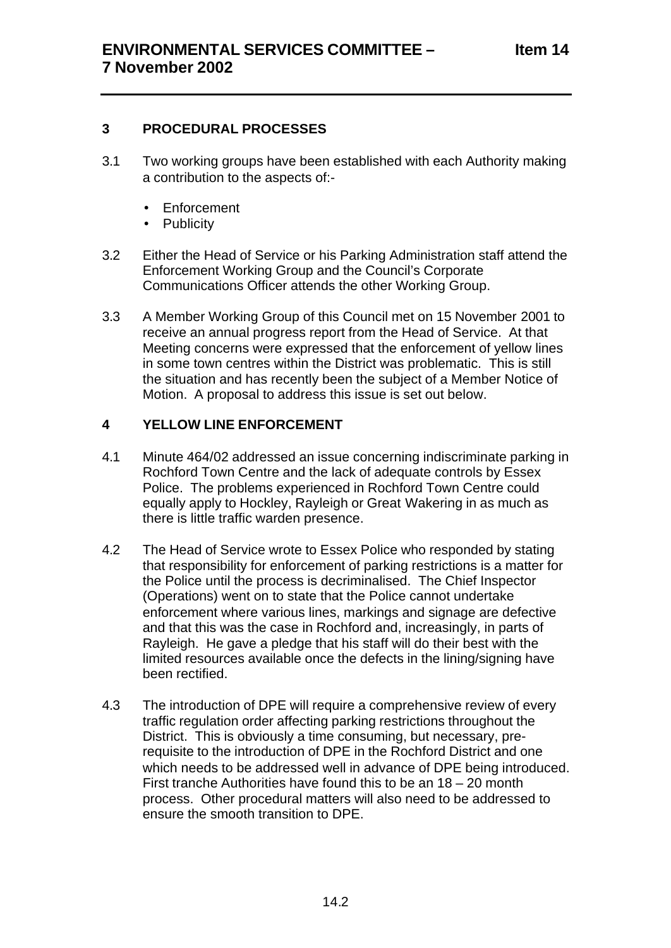#### **3 PROCEDURAL PROCESSES**

- 3.1 Two working groups have been established with each Authority making a contribution to the aspects of:-
	- Enforcement
	- Publicity
- 3.2 Either the Head of Service or his Parking Administration staff attend the Enforcement Working Group and the Council's Corporate Communications Officer attends the other Working Group.
- 3.3 A Member Working Group of this Council met on 15 November 2001 to receive an annual progress report from the Head of Service. At that Meeting concerns were expressed that the enforcement of yellow lines in some town centres within the District was problematic. This is still the situation and has recently been the subject of a Member Notice of Motion. A proposal to address this issue is set out below.

# **4 YELLOW LINE ENFORCEMENT**

- 4.1 Minute 464/02 addressed an issue concerning indiscriminate parking in Rochford Town Centre and the lack of adequate controls by Essex Police. The problems experienced in Rochford Town Centre could equally apply to Hockley, Rayleigh or Great Wakering in as much as there is little traffic warden presence.
- 4.2 The Head of Service wrote to Essex Police who responded by stating that responsibility for enforcement of parking restrictions is a matter for the Police until the process is decriminalised. The Chief Inspector (Operations) went on to state that the Police cannot undertake enforcement where various lines, markings and signage are defective and that this was the case in Rochford and, increasingly, in parts of Rayleigh. He gave a pledge that his staff will do their best with the limited resources available once the defects in the lining/signing have been rectified.
- 4.3 The introduction of DPE will require a comprehensive review of every traffic regulation order affecting parking restrictions throughout the District. This is obviously a time consuming, but necessary, prerequisite to the introduction of DPE in the Rochford District and one which needs to be addressed well in advance of DPE being introduced. First tranche Authorities have found this to be an 18 – 20 month process. Other procedural matters will also need to be addressed to ensure the smooth transition to DPE.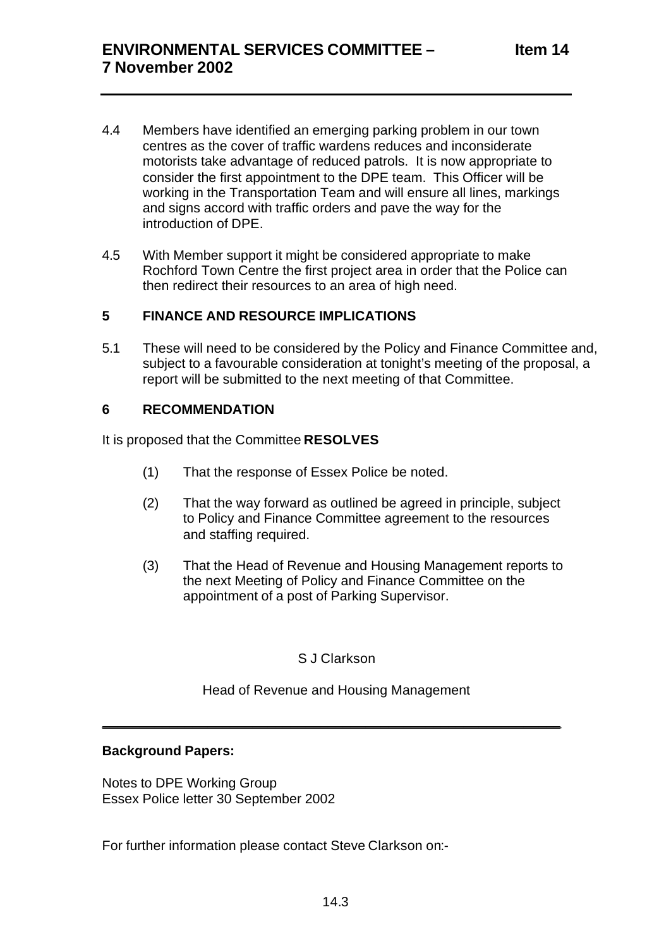- 4.4 Members have identified an emerging parking problem in our town centres as the cover of traffic wardens reduces and inconsiderate motorists take advantage of reduced patrols. It is now appropriate to consider the first appointment to the DPE team. This Officer will be working in the Transportation Team and will ensure all lines, markings and signs accord with traffic orders and pave the way for the introduction of DPE.
- 4.5 With Member support it might be considered appropriate to make Rochford Town Centre the first project area in order that the Police can then redirect their resources to an area of high need.

# **5 FINANCE AND RESOURCE IMPLICATIONS**

5.1 These will need to be considered by the Policy and Finance Committee and, subject to a favourable consideration at tonight's meeting of the proposal, a report will be submitted to the next meeting of that Committee.

# **6 RECOMMENDATION**

It is proposed that the Committee **RESOLVES**

- (1) That the response of Essex Police be noted.
- (2) That the way forward as outlined be agreed in principle, subject to Policy and Finance Committee agreement to the resources and staffing required.
- (3) That the Head of Revenue and Housing Management reports to the next Meeting of Policy and Finance Committee on the appointment of a post of Parking Supervisor.

#### S J Clarkson

#### Head of Revenue and Housing Management

\_\_\_\_\_\_\_\_\_\_\_\_\_\_\_\_\_\_\_\_\_\_\_\_\_\_\_\_\_\_\_\_\_\_\_\_\_\_\_\_\_\_\_\_\_\_\_\_\_\_\_\_\_\_\_\_\_\_\_\_\_

#### **Background Papers:**

Notes to DPE Working Group Essex Police letter 30 September 2002

For further information please contact Steve Clarkson on:-